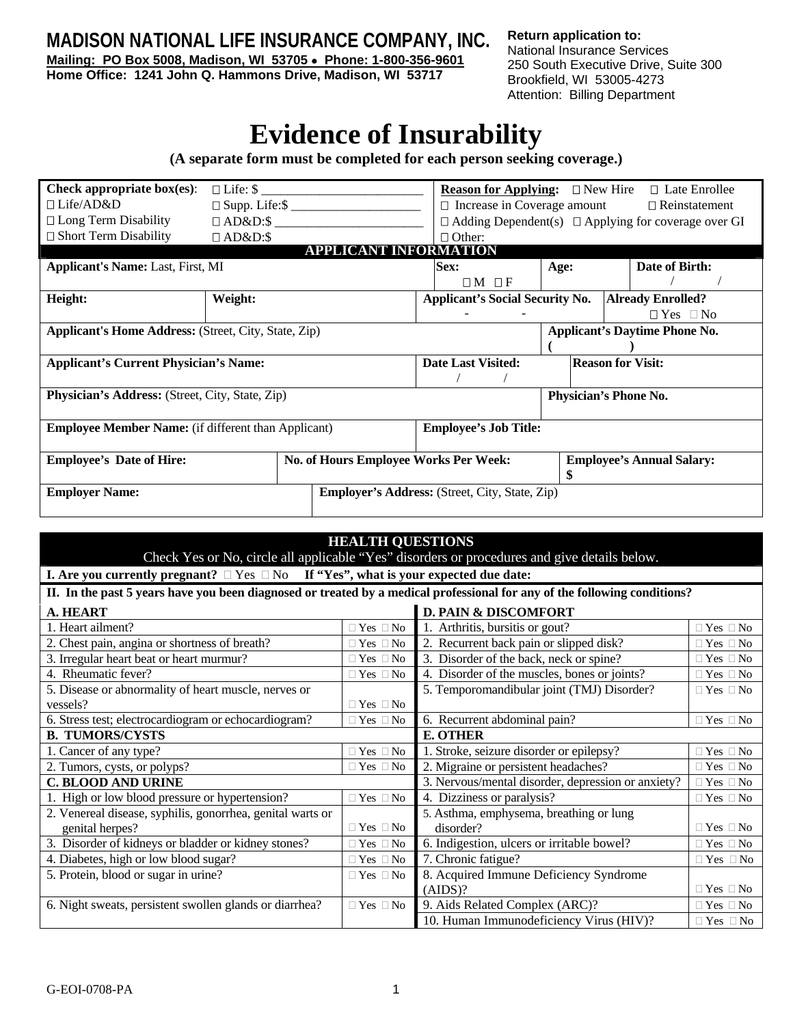**MADISON NATIONAL LIFE INSURANCE COMPANY, INC.**

**Mailing: PO Box 5008, Madison, WI 53705** • **Phone: 1-800-356-9601 Home Office: 1241 John Q. Hammons Drive, Madison, WI 53717** 

**Return application to:**  National Insurance Services 250 South Executive Drive, Suite 300 Brookfield, WI 53005-4273 Attention: Billing Department

## **Evidence of Insurability**

**(A separate form must be completed for each person seeking coverage.)** 

| Check appropriate $box(es)$ :                               | $\Box$ Life: $\$\$ |                                       | <b>Reason for Applying:</b> $\Box$ New Hire           |                                                                 |                | $\Box$ Late Enrollee             |  |
|-------------------------------------------------------------|--------------------|---------------------------------------|-------------------------------------------------------|-----------------------------------------------------------------|----------------|----------------------------------|--|
| $\Box$ Life/AD&D                                            |                    |                                       |                                                       | $\Box$ Increase in Coverage amount $\Box$ Reinstatement         |                |                                  |  |
| $\Box$ Long Term Disability                                 | $\Box$ AD&D:\$     |                                       |                                                       | $\Box$ Adding Dependent(s) $\Box$ Applying for coverage over GI |                |                                  |  |
| $\Box$ Short Term Disability                                | $\Box$ AD&D:\$     |                                       | $\Box$ Other:                                         |                                                                 |                |                                  |  |
|                                                             |                    | <b>APPLICANT INFORMATION</b>          |                                                       |                                                                 |                |                                  |  |
| <b>Applicant's Name: Last, First, MI</b>                    |                    | Sex:                                  | Age:                                                  |                                                                 | Date of Birth: |                                  |  |
|                                                             |                    |                                       | $\Box M \Box F$                                       |                                                                 |                |                                  |  |
| Height:                                                     | Weight:            |                                       | <b>Applicant's Social Security No.</b>                |                                                                 |                | <b>Already Enrolled?</b>         |  |
|                                                             |                    |                                       |                                                       |                                                                 |                | $\Box$ Yes $\Box$ No             |  |
| <b>Applicant's Home Address:</b> (Street, City, State, Zip) |                    |                                       | <b>Applicant's Daytime Phone No.</b>                  |                                                                 |                |                                  |  |
|                                                             |                    |                                       |                                                       |                                                                 |                |                                  |  |
| <b>Applicant's Current Physician's Name:</b>                |                    |                                       | <b>Date Last Visited:</b>                             |                                                                 |                | <b>Reason for Visit:</b>         |  |
|                                                             |                    |                                       |                                                       |                                                                 |                |                                  |  |
| Physician's Address: (Street, City, State, Zip)             |                    |                                       | Physician's Phone No.                                 |                                                                 |                |                                  |  |
|                                                             |                    |                                       |                                                       |                                                                 |                |                                  |  |
| <b>Employee Member Name:</b> (if different than Applicant)  |                    |                                       | <b>Employee's Job Title:</b>                          |                                                                 |                |                                  |  |
|                                                             |                    |                                       |                                                       |                                                                 |                |                                  |  |
| <b>Employee's Date of Hire:</b>                             |                    | No. of Hours Employee Works Per Week: |                                                       |                                                                 |                | <b>Employee's Annual Salary:</b> |  |
|                                                             |                    |                                       |                                                       |                                                                 |                |                                  |  |
| <b>Employer Name:</b>                                       |                    |                                       | <b>Employer's Address:</b> (Street, City, State, Zip) |                                                                 |                |                                  |  |
|                                                             |                    |                                       |                                                       |                                                                 |                |                                  |  |

| <b>HEALTH QUESTIONS</b>                                                                                                   |                      |                                                                            |                            |  |  |
|---------------------------------------------------------------------------------------------------------------------------|----------------------|----------------------------------------------------------------------------|----------------------------|--|--|
| Check Yes or No, circle all applicable "Yes" disorders or procedures and give details below.                              |                      |                                                                            |                            |  |  |
| I. Are you currently pregnant? $\Box$ Yes $\Box$ No If "Yes", what is your expected due date:                             |                      |                                                                            |                            |  |  |
| II. In the past 5 years have you been diagnosed or treated by a medical professional for any of the following conditions? |                      |                                                                            |                            |  |  |
| <b>D. PAIN &amp; DISCOMFORT</b><br>A. HEART                                                                               |                      |                                                                            |                            |  |  |
| 1. Heart ailment?                                                                                                         | $\Box$ Yes $\Box$ No | 1. Arthritis, bursitis or gout?                                            | $\Box$ Yes $\Box$ No       |  |  |
| 2. Chest pain, angina or shortness of breath?                                                                             | $\Box$ Yes $\Box$ No | 2. Recurrent back pain or slipped disk?<br>$\Box$ Yes $\Box$ No            |                            |  |  |
| 3. Irregular heart beat or heart murmur?                                                                                  | $\Box$ Yes $\Box$ No | 3. Disorder of the back, neck or spine?                                    | $\Box$ Yes $\Box$ No       |  |  |
| 4. Rheumatic fever?                                                                                                       | $\Box$ Yes $\Box$ No | 4. Disorder of the muscles, bones or joints?                               | $\Box$ Yes $\Box$ No       |  |  |
| 5. Disease or abnormality of heart muscle, nerves or                                                                      |                      | 5. Temporomandibular joint (TMJ) Disorder?                                 | $\Box$ Yes $\Box$ No       |  |  |
| vessels?                                                                                                                  | $\Box$ Yes $\Box$ No |                                                                            |                            |  |  |
| 6. Stress test; electrocardiogram or echocardiogram?<br>$\Box$ Yes $\Box$ No                                              |                      | 6. Recurrent abdominal pain?                                               | $\Box$ Yes $\Box$ No       |  |  |
| <b>B. TUMORS/CYSTS</b>                                                                                                    |                      | <b>E. OTHER</b>                                                            |                            |  |  |
| 1. Cancer of any type?<br>$\Box$ Yes $\Box$ No                                                                            |                      | 1. Stroke, seizure disorder or epilepsy?                                   | $\Box$ Yes $\Box$ No       |  |  |
| 2. Tumors, cysts, or polyps?                                                                                              | $\Box$ Yes $\Box$ No | 2. Migraine or persistent headaches?                                       | $\Box$ Yes $\Box$ No       |  |  |
| <b>C. BLOOD AND URINE</b>                                                                                                 |                      | 3. Nervous/mental disorder, depression or anxiety?<br>$\Box$ Yes $\Box$ No |                            |  |  |
| 1. High or low blood pressure or hypertension?<br>$\Box$ Yes $\Box$ No                                                    |                      | 4. Dizziness or paralysis?                                                 | $\Box$ Yes $\Box$ No       |  |  |
| 2. Venereal disease, syphilis, gonorrhea, genital warts or                                                                |                      | 5. Asthma, emphysema, breathing or lung                                    |                            |  |  |
| genital herpes?                                                                                                           | $\Box$ Yes $\Box$ No | disorder?                                                                  | $\Box$ Yes $\Box$ No       |  |  |
| 3. Disorder of kidneys or bladder or kidney stones?<br>$\Box$ Yes $\Box$ No                                               |                      | 6. Indigestion, ulcers or irritable bowel?<br>$\Box$ Yes $\Box$ No         |                            |  |  |
| 4. Diabetes, high or low blood sugar?<br>$\Box$ Yes $\Box$ No                                                             |                      | 7. Chronic fatigue?                                                        | $\Box$ Yes $\Box$ No       |  |  |
| 5. Protein, blood or sugar in urine?                                                                                      | $\Box$ Yes $\Box$ No | 8. Acquired Immune Deficiency Syndrome                                     |                            |  |  |
|                                                                                                                           |                      | (AIDS)?                                                                    | $\Box$ Yes $\Box$ No       |  |  |
| 6. Night sweats, persistent swollen glands or diarrhea?                                                                   | $\Box$ Yes $\Box$ No | 9. Aids Related Complex (ARC)?                                             | $\Box$<br>Yes $\Box$<br>No |  |  |
|                                                                                                                           |                      | 10. Human Immunodeficiency Virus (HIV)?<br>$\Box$ Yes $\Box$ No            |                            |  |  |